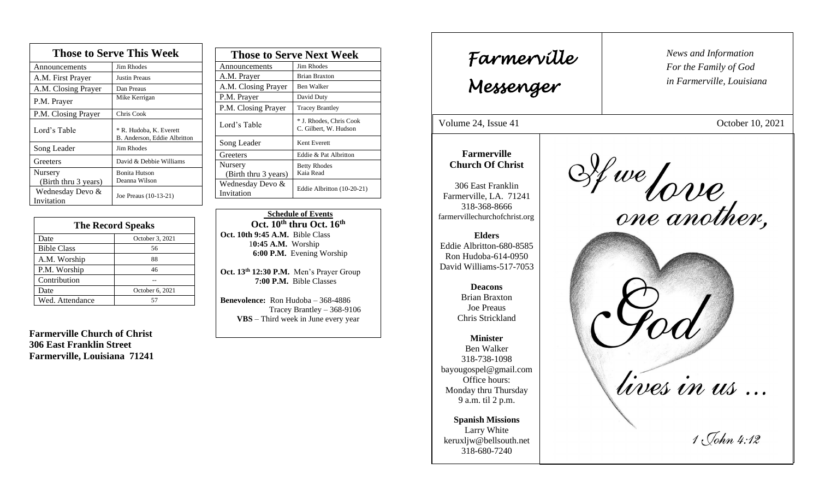| <b>Those to Serve This Week</b> |                                                         |  |
|---------------------------------|---------------------------------------------------------|--|
| Announcements                   | <b>Jim Rhodes</b>                                       |  |
| A.M. First Prayer               | <b>Justin Preaus</b>                                    |  |
| A.M. Closing Prayer             | Dan Preaus                                              |  |
| P.M. Prayer                     | Mike Kerrigan                                           |  |
| P.M. Closing Prayer             | Chris Cook                                              |  |
| Lord's Table                    | * R. Hudoba, K. Everett<br>B. Anderson, Eddie Albritton |  |
| Song Leader                     | Jim Rhodes                                              |  |
| Greeters                        | David & Debbie Williams                                 |  |
| Nursery<br>(Birth thru 3 years) | <b>Bonita Hutson</b><br>Deanna Wilson                   |  |
| Wednesday Devo &<br>Invitation  | Joe Preaus (10-13-21)                                   |  |

| <b>The Record Speaks</b> |                 |  |
|--------------------------|-----------------|--|
| Date                     | October 3, 2021 |  |
| <b>Bible Class</b>       | 56              |  |
| A.M. Worship             | 88              |  |
| P.M. Worship             | 46              |  |
| Contribution             |                 |  |
| Date                     | October 6, 2021 |  |
| Wed. Attendance          |                 |  |

**Farmerville Church of Christ 306 East Franklin Street Farmerville, Louisiana 71241**

| <b>Those to Serve Next Week</b> |                                                  |
|---------------------------------|--------------------------------------------------|
| Announcements                   | Jim Rhodes                                       |
| A.M. Prayer                     | <b>Brian Braxton</b>                             |
| A.M. Closing Prayer             | Ben Walker                                       |
| P.M. Prayer                     | David Duty                                       |
| P.M. Closing Prayer             | <b>Tracey Brantley</b>                           |
| Lord's Table                    | * J. Rhodes, Chris Cook<br>C. Gilbert, W. Hudson |
| Song Leader                     | Kent Everett                                     |
| Greeters                        | Eddie & Pat Albritton                            |
| Nursery                         | <b>Betty Rhodes</b>                              |
| (Birth thru 3 years)            | Kaia Read                                        |
| Wednesday Devo &                | Eddie Albritton (10-20-21)                       |
| Invitation                      |                                                  |

 **Schedule of Events Oct. 10th thru Oct. 16th Oct. 10th 9:45 A.M.** Bible Class 1**0:45 A.M.** Worship  **6:00 P.M.** Evening Worship

**Oct. 13th 12:30 P.M.** Men's Prayer Group **7:00 P.M.** Bible Classes

**Benevolence:** Ron Hudoba – 368-4886 Tracey Brantley – 368-9106 **VBS** – Third week in June every year

*News and Information* **Farmerville**  $\parallel$  News and *For the Family of God in Farmerville, Louisiana Messenger*  Volume 24, Issue 41 October 10, 2021 , 2015 **Farmerville** If we force,<br>one another, **Church Of Christ** 306 East Franklin Farmerville, LA. 71241 318-368-8666 farmervillechurchofchrist.org **Elders** Eddie Albritton-680-8585 Ron Hudoba-614-0950 David Williams-517-7053 **Deacons**  Brian Braxton Joe Preaus Chris Strickland **Minister** Ben Walker 318-738-1098 lives in us... bayougospel@gmail.com Office hours: Monday thru Thursday 9 a.m. til 2 p.m. **Spanish Missions** Larry White  $1\sqrt{6hn4:12}$ keruxljw@bellsouth.net 318-680-7240